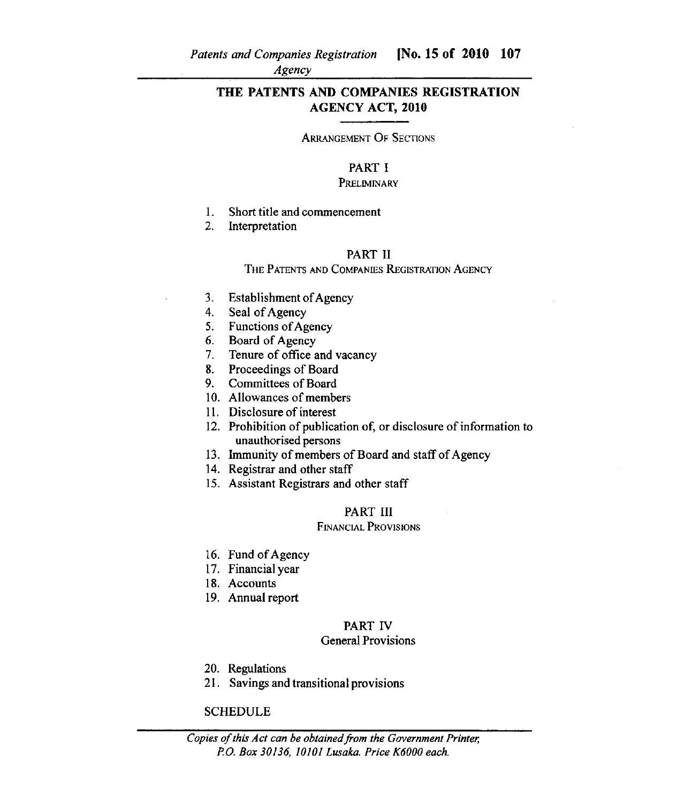*Patents and Companies Registration* **[No. 15 of 2010 107**

*Agency*

### **THE PATENTS AND COMPANIES REGISTRATION**

## **AGENCY ACT, 2010**

#### ARRANGEMENT OF SECTIONS

#### PART I

#### **PRELIMINARY**

- 1. Short title and commencement
- $2.$ Interpretation

#### PART II

#### THE PATENTS AND COMPANIES REGISTRATION AGENCY

- Establishment of Agency
- 4. Seal of Agency
- 5. Functions of Agency
- 6. Board of Agency
- Tenure of office and vacancy 7.
- 8. Proceedings of Board
- Committees of Board
- Allowances of members
- 11. Disclosure of interest
- 12. Prohibition of publication of, or disclosure of information to unauthorised persons
- 13. Immunity of members of Board and staff of Agency
- 14. Registrar and other staff
- 15. Assistant Registrars and other staff

#### PART III

#### FINANCIAL PROVISIONS

- 16. Fund of Agency
- 17. Financial year
- 18. Accounts
- Annual report

### PART IV

### General Provisions

- 20. Regulations
- 21. Savings and transitional provisions

#### SCHEDULE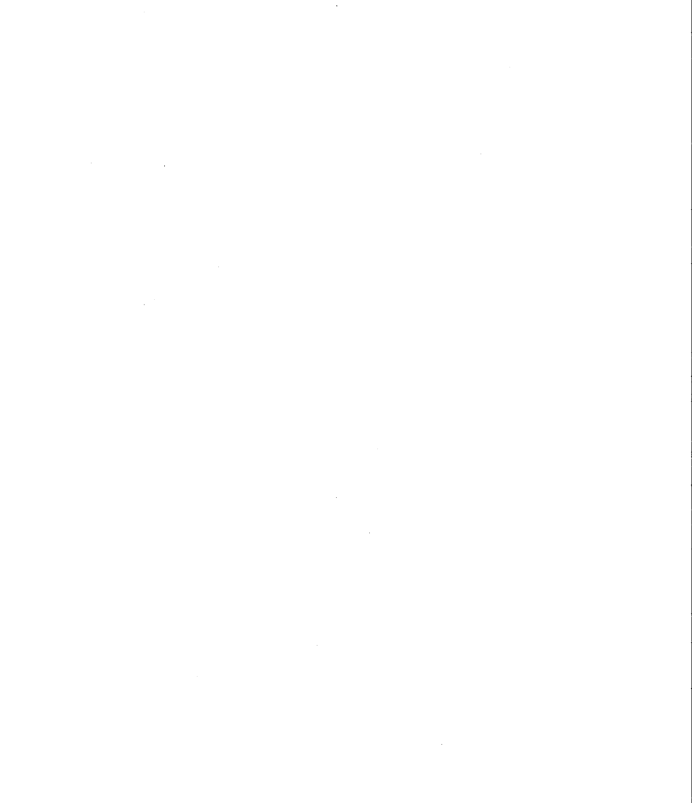$\mathcal{L}(\mathcal{A})$  .  $\mathcal{L}_{\text{max}}$  and  $\mathcal{L}_{\text{max}}$  . The set of  $\mathcal{L}_{\text{max}}$ 

 $\label{eq:2.1} \frac{1}{\sqrt{2}}\int_{\mathbb{R}^3}\frac{1}{\sqrt{2}}\left(\frac{1}{\sqrt{2}}\right)^2\frac{1}{\sqrt{2}}\left(\frac{1}{\sqrt{2}}\right)^2\frac{1}{\sqrt{2}}\left(\frac{1}{\sqrt{2}}\right)^2\frac{1}{\sqrt{2}}\left(\frac{1}{\sqrt{2}}\right)^2\frac{1}{\sqrt{2}}\left(\frac{1}{\sqrt{2}}\right)^2\frac{1}{\sqrt{2}}\frac{1}{\sqrt{2}}\frac{1}{\sqrt{2}}\frac{1}{\sqrt{2}}\frac{1}{\sqrt{2}}\frac{1}{\sqrt{2}}$  $\label{eq:2.1} \frac{1}{\sqrt{2}}\left(\frac{1}{\sqrt{2}}\right)^{2} \left(\frac{1}{\sqrt{2}}\right)^{2} \left(\frac{1}{\sqrt{2}}\right)^{2} \left(\frac{1}{\sqrt{2}}\right)^{2} \left(\frac{1}{\sqrt{2}}\right)^{2} \left(\frac{1}{\sqrt{2}}\right)^{2} \left(\frac{1}{\sqrt{2}}\right)^{2} \left(\frac{1}{\sqrt{2}}\right)^{2} \left(\frac{1}{\sqrt{2}}\right)^{2} \left(\frac{1}{\sqrt{2}}\right)^{2} \left(\frac{1}{\sqrt{2}}\right)^{2} \left(\$ 

 $\mathcal{O}(\mathcal{O}_\mathcal{O})$  . The contract of the set of the set of the set of the  $\mathcal{O}(\mathcal{O}_\mathcal{O})$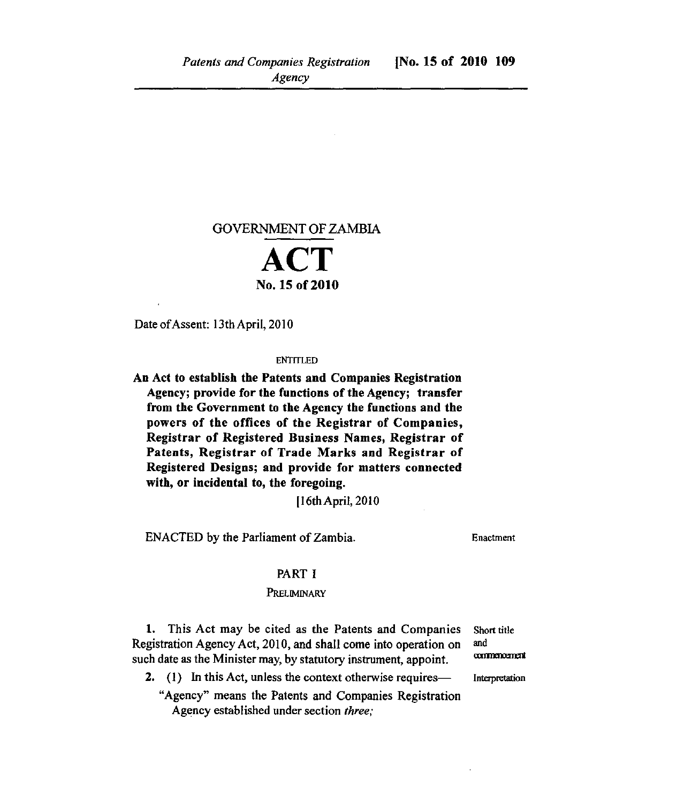*Agency*

# GOVERNMENT OF ZAMBIA **ACT**

No. 15 of 2010

Date of Assent: 13th April, 2010

ENTITLED

An Act to establish the Patents and Companies Registration Agency; provide for the functions of the Agency; transfer from the Government to the Agency the functions and the powers of the offices of the Registrar of Companies, Registrar of Registered Business Names, Registrar of Patents, Registrar of Trade Marks and Registrar of Registered Designs; and provide for matters connected with, or incidental to, the foregoing.

[16th April, 2010

ENACTED by the Parliament of Zambia. **Enactment**

#### PART I

#### **PRELIMINARY**

1. This Act may be cited as the Patents and Companies Registration Agency Act, 2010, and shall come into operation on such date as the Minister may, by statutory instrument, appoint. **Short title and**

**commencement**

**Interpretation**

2. (1) In this Act, unless the context otherwise requires— "Agency" means the Patents and Companies Registration Agency established under section *three;*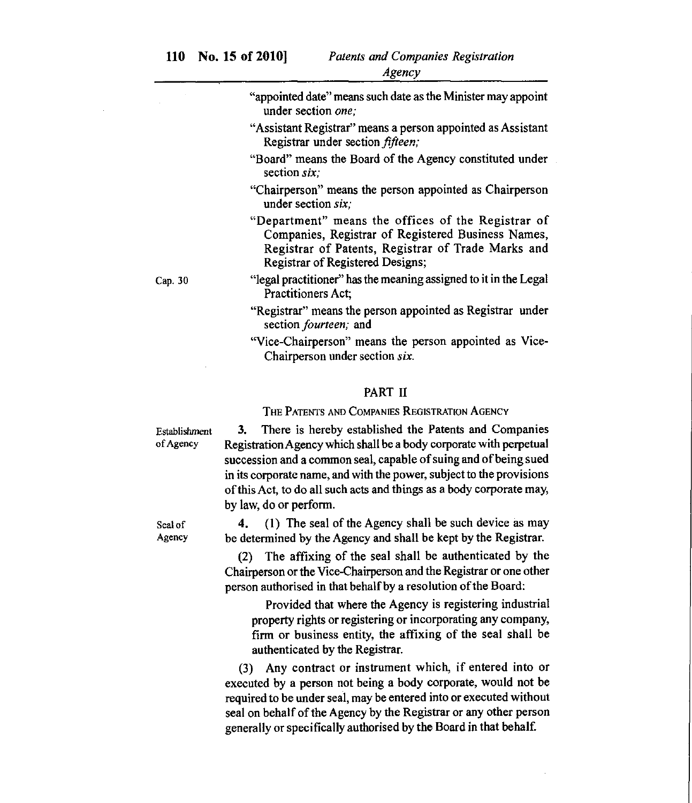|                            | Agency                                                                                                                                                                                                                                                                                                                                                                          |
|----------------------------|---------------------------------------------------------------------------------------------------------------------------------------------------------------------------------------------------------------------------------------------------------------------------------------------------------------------------------------------------------------------------------|
|                            | "appointed date" means such date as the Minister may appoint<br>under section one:                                                                                                                                                                                                                                                                                              |
|                            | "Assistant Registrar" means a person appointed as Assistant<br>Registrar under section <i>fifteen</i> ;                                                                                                                                                                                                                                                                         |
|                            | "Board" means the Board of the Agency constituted under<br>section six;                                                                                                                                                                                                                                                                                                         |
|                            | "Chairperson" means the person appointed as Chairperson<br>under section six.                                                                                                                                                                                                                                                                                                   |
|                            | "Department" means the offices of the Registrar of<br>Companies, Registrar of Registered Business Names,<br>Registrar of Patents, Registrar of Trade Marks and<br>Registrar of Registered Designs;                                                                                                                                                                              |
| Cap. 30                    | "legal practitioner" has the meaning assigned to it in the Legal<br>Practitioners Act;                                                                                                                                                                                                                                                                                          |
|                            | "Registrar" means the person appointed as Registrar under<br>section fourteen; and                                                                                                                                                                                                                                                                                              |
|                            | "Vice-Chairperson" means the person appointed as Vice-<br>Chairperson under section six.                                                                                                                                                                                                                                                                                        |
|                            | PART II                                                                                                                                                                                                                                                                                                                                                                         |
|                            | THE PATENTS AND COMPANIES REGISTRATION AGENCY                                                                                                                                                                                                                                                                                                                                   |
| Establishment<br>of Agency | There is hereby established the Patents and Companies<br>3.<br>Registration Agency which shall be a body corporate with perpetual<br>succession and a common seal, capable of suing and of being sued<br>in its corporate name, and with the power, subject to the provisions<br>of this Act, to do all such acts and things as a body corporate may,<br>by law, do or perform. |
| Seal of<br>Agency          | (1) The seal of the Agency shall be such device as may<br>4.<br>be determined by the Agency and shall be kept by the Registrar.                                                                                                                                                                                                                                                 |
|                            | The affixing of the seal shall be authenticated by the<br>(2)<br>Chairperson or the Vice-Chairperson and the Registrar or one other<br>person authorised in that behalf by a resolution of the Board:                                                                                                                                                                           |
|                            | Provided that where the Agency is registering industrial<br>property rights or registering or incorporating any company,<br>firm or business entity, the affixing of the seal shall be<br>authenticated by the Registrar.                                                                                                                                                       |
|                            | Any contract or instrument which, if entered into or<br>(3)<br>executed by a person not being a body corporate, would not be                                                                                                                                                                                                                                                    |

executed by a person not being a body corporate, would not be required to be under seal, may be entered into or executed without seal on behalf of the Agency by the Registrar or any other person generally or specifically authorised by the Board in that behalf.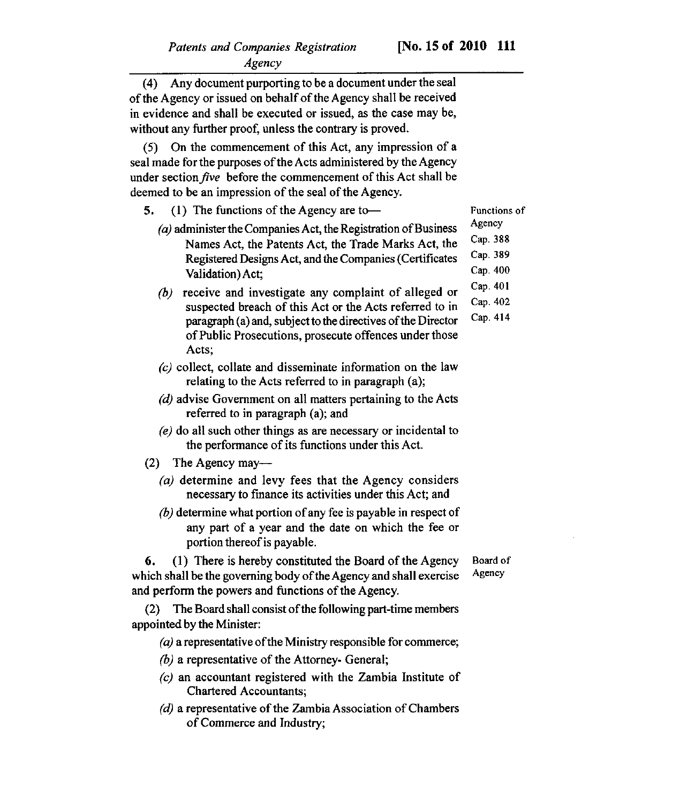Any document purporting to be a document under the seal of the Agency or issued on behalf of the Agency shall be received in evidence and shall be executed or issued, as the case may be, without any further proof, unless the contrary is proved. On the commencement of this Act, any impression of a seal made for the purposes of the Acts administered by the Agency under section *five* before the commencement of this Act shall be deemed to be an impression of the seal of the Agency. 5. (1) The functions of the Agency are to—  $(a)$  administer the Companies Act, the Registration of Business Names Act, the Patents Act, the Trade Marks Act, the Registered Designs Act, and the Companies (Certificates Validation) Act;  $(b)$  receive and investigate any complaint of alleged or suspected breach of this Act or the Acts referred to in paragraph (a) and, subject to the directives of the Director of Public Prosecutions, prosecute offences under those Acts;  $(c)$  collect, collate and disseminate information on the law relating to the Acts referred to in paragraph (a);  $(d)$  advise Government on all matters pertaining to the Acts referred to in paragraph (a); and *(e)* do all such other things as are necessary or incidental to the performance of its functions under this Act. (2) The Agency may—  $(a)$  determine and levy fees that the Agency considers necessary to finance its activities under this Act; and  $\langle b \rangle$  determine what portion of any fee is payable in respect of any part of a year and the date on which the fee or portion thereof is payable. 6. (1) There is hereby constituted the Board of the Agency which shall be the governing body of the Agency and shall exercise and perform the powers and functions of the Agency. (2) The Board shall consist of the following part-time members appointed by the Minister:  $(a)$  a representative of the Ministry responsible for commerce;  $(b)$  a representative of the Attorney- General;  $(c)$  an accountant registered with the Zambia Institute of Chartered Accountants; Functions of Agency Cap. 388 Cap. 389 Cap. 400 Cap. 401 Cap. 402 Cap. 414 Board of Agency

 $(d)$  a representative of the Zambia Association of Chambers of Commerce and Industry;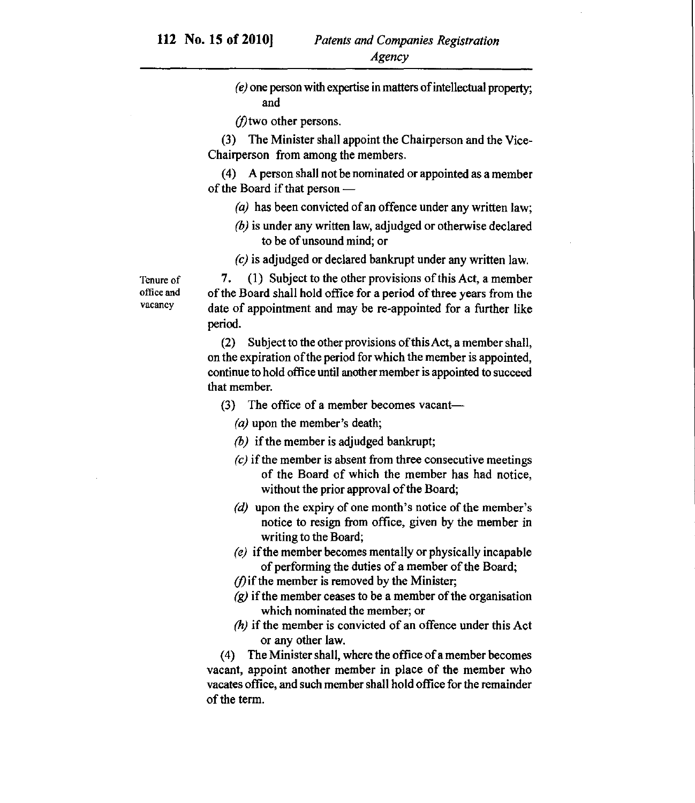*(e)* one person with expertise in matters of intellectual property; and

 $(f)$  two other persons.

The Minister shall appoint the Chairperson and the Vice-Chairperson from among the members.

A person shall not be nominated or appointed as a member of the Board if that person —

- (a) has been convicted of an offence under any written law;
- $(b)$  is under any written law, adjudged or otherwise declared to be of unsound mind; or

*(c) is* adjudged or declared bankrupt under any written law.

Tenure of office and vacancy

7. (1) Subject to the other provisions of this Act, a member of the Board shall hold office for a period of three years from the date of appointment and may be re-appointed for a further like period.

 $(2)$ Subject to the other provisions of this Act, a member shall, on the expiration of the period for which the member is appointed, continue to hold office until another member is appointed to succeed that member.

(3) The office of a member becomes vacant—

 $(a)$  upon the member's death;

- $(b)$  if the member is adjudged bankrupt;
- $(c)$  if the member is absent from three consecutive meetings of the Board of which the member has had notice, without the prior approval of the Board;
- $(d)$  upon the expiry of one month's notice of the member's notice to resign from office, given by the member in writing to the Board;
- *(e)* if the member becomes mentally or physically incapable of performing the duties of a member of the Board;
- $(f)$  if the member is removed by the Minister;
- $(q)$  if the member ceases to be a member of the organisation which nominated the member; or
- $(h)$  if the member is convicted of an offence under this Act or any other law.

(4) The Minister shall, where the office of a member becomes vacant, appoint another member in place of the member who vacates office, and such member shall hold office for the remainder of the term.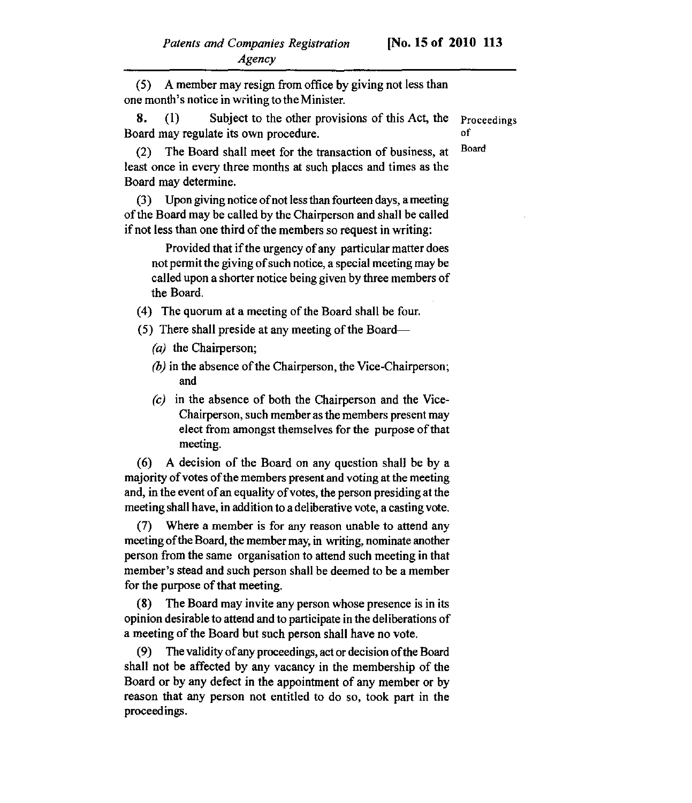(5) A member may resign from office by giving not less than one month's notice in writing to the Minister.

8. (1) Subject to the other provisions of this Act, the Proceedings Board may regulate its own procedure.  $\qquad \qquad$  of

The Board shall meet for the transaction of business, at Board  $(2)$ least once in every three months at such places and times as the Board may determine.

Upon giving notice of not less than fourteen days, a meeting  $(3)$ of the Board may be called by the Chairperson and shall be called if not less than one third of the members so request in writing:

Provided that if the urgency of any particular matter does not permit the giving of such notice, a special meeting may be called upon a shorter notice being given by three members of the Board.

The quorum at a meeting of the Board shall be four.

 $(5)$  There shall preside at any meeting of the Board—

- $(a)$  the Chairperson;
- $(b)$  in the absence of the Chairperson, the Vice-Chairperson; and
- $(c)$  in the absence of both the Chairperson and the Vice-Chairperson, such member as the members present may elect from amongst themselves for the purpose of that meeting.

(6) A decision of the Board on any question shall be by a majority of votes of the members present and voting at the meeting and, in the event of an equality of votes, the person presiding at the meeting shall have, in addition to a deliberative vote, a casting vote.

Where a member is for any reason unable to attend any meeting of the Board, the member may, in writing, nominate another person from the same organisation to attend such meeting in that member's stead and such person shall be deemed to be a member for the purpose of that meeting.

The Board may invite any person whose presence is in its  $(8)$ opinion desirable to attend and to participate in the deliberations of a meeting of the Board but such person shall have no vote.

(9) The validity of any proceedings, act or decision of the Board shall not be affected by any vacancy in the membership of the Board or by any defect in the appointment of any member or by reason that any person not entitled to do so, took part in the proceedings.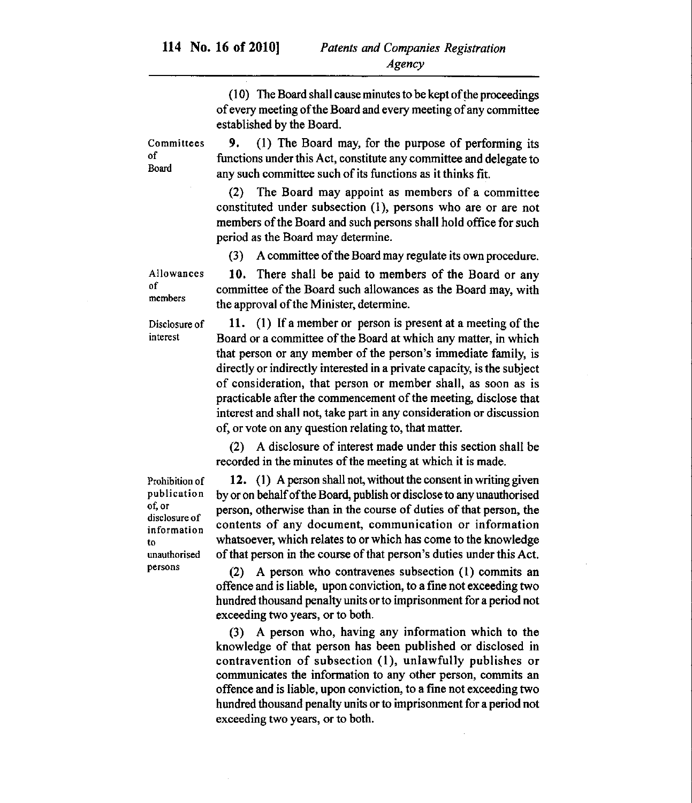(10) The Board shall cause minutes to be kept of the proceedings of every meeting of the Board and every meeting of any committee established by the Board.

Committees Board 9. (1) The Board may, for the purpose of performing its functions under this Act, constitute any committee and delegate to any such committee such of its functions as it thinks fit.

> The Board may appoint as members of a committee  $(2)$ constituted under subsection (I), persons who are or are not members of the Board and such persons shall hold office for such period as the Board may determine.

A committee of the Board may regulate its own procedure.

Allowances of members

of

10. There shall be paid to members of the Board or any committee of the Board such allowances as the Board may, with the approval of the Minister, determine.

Disclosure of interest

(1) If a member or person is present at a meeting of the Board or a committee of the Board at which any matter, in which that person or any member of the person's immediate family, is directly or indirectly interested in a private capacity, is the subject of consideration, that person or member shall, as soon as is practicable after the commencement of the meeting, disclose that interest and shall not, take part in any consideration or discussion of, or vote on any question relating to, that matter.

(2) A disclosure of interest made under this section shall be recorded in the minutes of the meeting at which it is made.

Prohibition of publication of, or disclosure of information to unauthorised persons

12. (1) A person shall not, without the consent in writing given by or on behalf of the Board, publish or disclose to any unauthorised person, otherwise than in the course of duties of that person, the contents of any document, communication or information whatsoever, which relates to or which has come to the knowledge of that person in the course of that person's duties under this Act.

A person who contravenes subsection (1) commits an offence and is liable, upon conviction, to a fine not exceeding two hundred thousand penalty units or to imprisonment for a period not exceeding two years, or to both.

A person who, having any information which to the knowledge of that person has been published or disclosed in contravention of subsection (1), unlawfully publishes or communicates the information to any other person, commits an offence and is liable, upon conviction, to a fine not exceeding two hundred thousand penalty units or to imprisonment for a period not exceeding two years, or to both.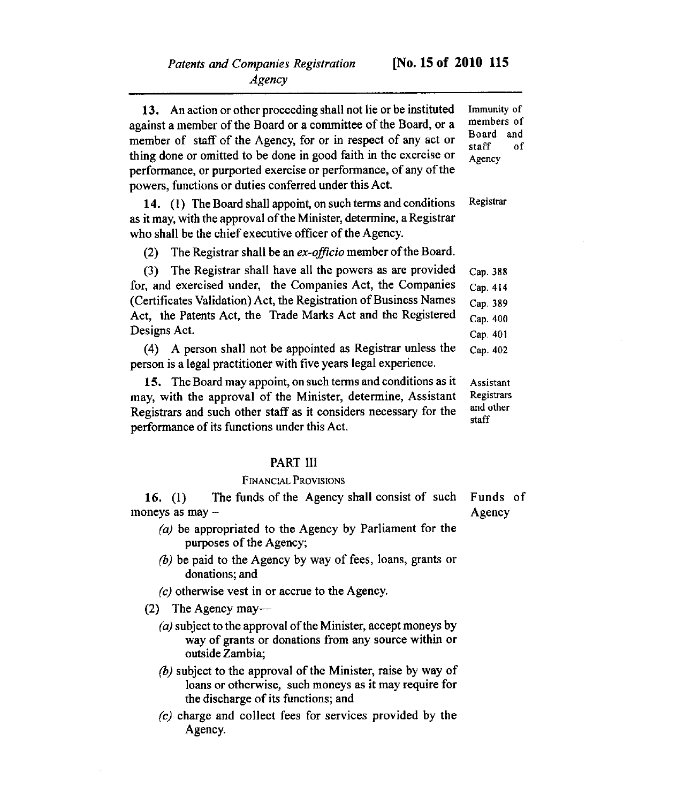| 13. An action or other proceeding shall not lie or be instituted<br>against a member of the Board or a committee of the Board, or a<br>member of staff of the Agency, for or in respect of any act or<br>thing done or omitted to be done in good faith in the exercise or<br>performance, or purported exercise or performance, of any of the<br>powers, functions or duties conferred under this Act. | Immunity of<br>members of<br>Board<br>and<br>staff<br>of<br>Agency |
|---------------------------------------------------------------------------------------------------------------------------------------------------------------------------------------------------------------------------------------------------------------------------------------------------------------------------------------------------------------------------------------------------------|--------------------------------------------------------------------|
| 14. (1) The Board shall appoint, on such terms and conditions<br>as it may, with the approval of the Minister, determine, a Registrar<br>who shall be the chief executive officer of the Agency.                                                                                                                                                                                                        | Registrar                                                          |
| The Registrar shall be an ex-officio member of the Board.<br>(2)                                                                                                                                                                                                                                                                                                                                        |                                                                    |
| The Registrar shall have all the powers as are provided<br>(3)<br>for, and exercised under, the Companies Act, the Companies<br>(Certificates Validation) Act, the Registration of Business Names<br>Act, the Patents Act, the Trade Marks Act and the Registered<br>Designs Act.                                                                                                                       | Cap. 388<br>Cap. 414<br>Cap. 389<br>Cap. 400<br>Cap. 401           |

(4) A person shall not be appointed as Registrar unless the person is a legal practitioner with five years legal experience. Cap. 402

15. The Board may appoint, on such terms and conditions as it may, with the approval of the Minister, determine, Assistant Registrars and such other staff as it considers necessary for the performance of its functions under this Act. Assistant **Registrars** and other staff

#### PART III

#### FINANCIAL PROVISIONS

16. (1) The funds of the Agency shall consist of such Funds of moneys as may  $-$  Agency

- $(a)$  be appropriated to the Agency by Parliament for the purposes of the Agency;
- $(b)$  be paid to the Agency by way of fees, loans, grants or donations; and
- (c) otherwise vest in or accrue to the Agency.
- (2) The Agency may—
	- $(a)$  subject to the approval of the Minister, accept moneys by way of grants or donations from any source within or outside *Zambia;*
	- $(b)$  subject to the approval of the Minister, raise by way of loans or otherwise, such moneys as it may require for the discharge of its functions; and
	- *(c)* charge and collect fees for services provided by the Agency.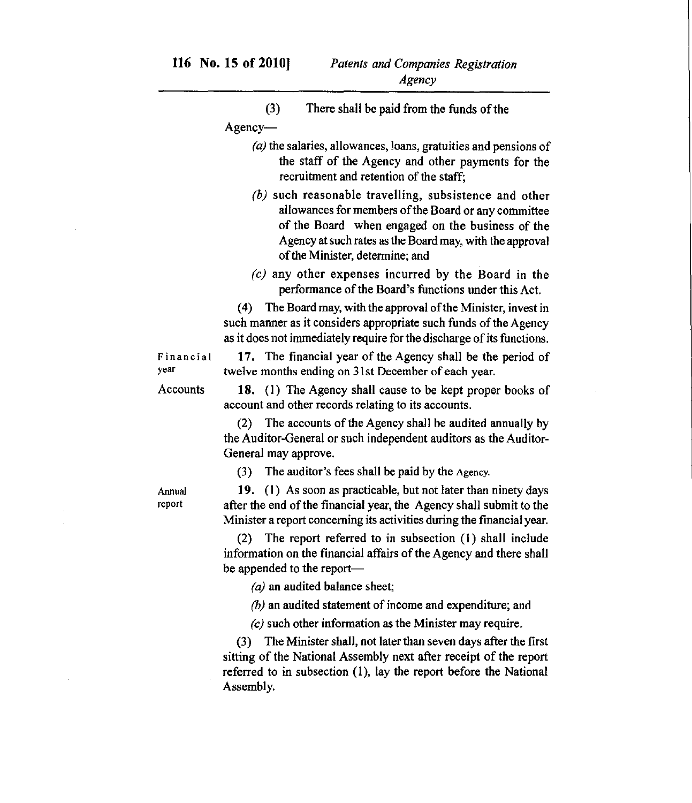(3) There shall be paid from the funds of the

Agency—

- $(a)$  the salaries, allowances, loans, gratuities and pensions of the staff of the Agency and other payments for the recruitment and retention of the staff;
- $(b)$  such reasonable travelling, subsistence and other allowances for members of the Board or any committee of the Board when engaged on the business of the Agency at such rates as the Board may, with the approval of the Minister, determine; and
- *(c)* any other expenses incurred by the Board in the performance of the Board's functions under this Act.

(4) The Board may, with the approval of the Minister, invest in such manner as it considers appropriate such funds of the Agency as it does not immediately require for the discharge of its functions.

Financial year

17. The financial year of the Agency shall be the period of twelve months ending on 31st December of each year.

Accounts 18. (1) The Agency shall cause to be kept proper books of account and other records relating to its accounts.

> The accounts of the Agency shall be audited annually by  $(2)$ the Auditor-General or such independent auditors as the Auditor-General may approve.

The auditor's fees shall be paid by the Agency.  $(3)$ 

Annual 19. (1) As soon as practicable, but not later than ninety days report after the end of the financial year, the Agency shall submit to the Minister a report concerning its activities during the financial year.

> The report referred to in subsection (1) shall include  $(2)$ information on the financial affairs of the Agency and there shall be appended to the report—

*(a)* an audited balance sheet;

 $(b)$  an audited statement of income and expenditure; and

*(c)* such other information as the Minister may require.

 $(3)$ The Minister shall, not later than seven days after the first sitting of the National Assembly next after receipt of the report referred to in subsection (1), lay the report before the National Assembly.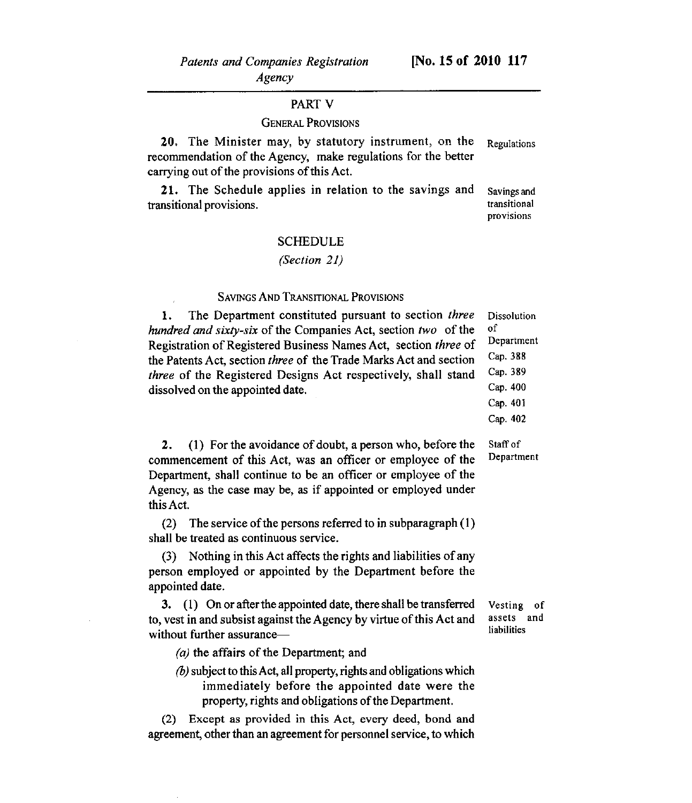#### PART V

#### GENERAL PROVISIONS

20. The Minister may, by statutory instrument, on the recommendation of the Agency, make regulations for the better carrying out of the provisions of this Act. Regulations

21. The Schedule applies in relation to the savings and transitional provisions. Savings and transitional provisions

#### SCHEDULE

#### *(Section 21)*

#### SAVINGS AND TRANSITIONAL PROVISIONS

1. The Department constituted pursuant to section *three* Dissolution of *hundred and sixty-six* of the Companies Act, section *two* of the Registration of Registered Business Names Act, section *three* of Cap. 388 the Patents Act, section *three* of the Trade Marks Act and section Cap. 389 *three* of the Registered Designs Act respectively, shall stand Cap. 400 dissolved on the appointed date.

(1) For the avoidance of doubt, a person who, before the 2. commencement of this Act, was an officer or employee of the Department, shall continue to be an officer or employee of the Agency, as the case may be, *as* if appointed or employed under this Act.

(2) The service of the persons referred to in subparagraph  $(1)$ shall be treated as continuous service.

(3) Nothing in this Act affects the rights and liabilities of any person employed or appointed by the Department before the appointed date.

3. (1) On or after the appointed date, there shall be transferred to, vest in and subsist against the Agency by virtue of this Act and without further assurance—

 $(a)$  the affairs of the Department; and

 $(b)$  subject to this Act, all property, rights and obligations which immediately before the appointed date were the property, rights and obligations of the Department.

(2) Except as provided in this Act, every deed, bond and agreement, other than an agreement for personnel service, to which Vesting of assets and liabilities

Department Cap. 401

Cap. 402

Staff of Department